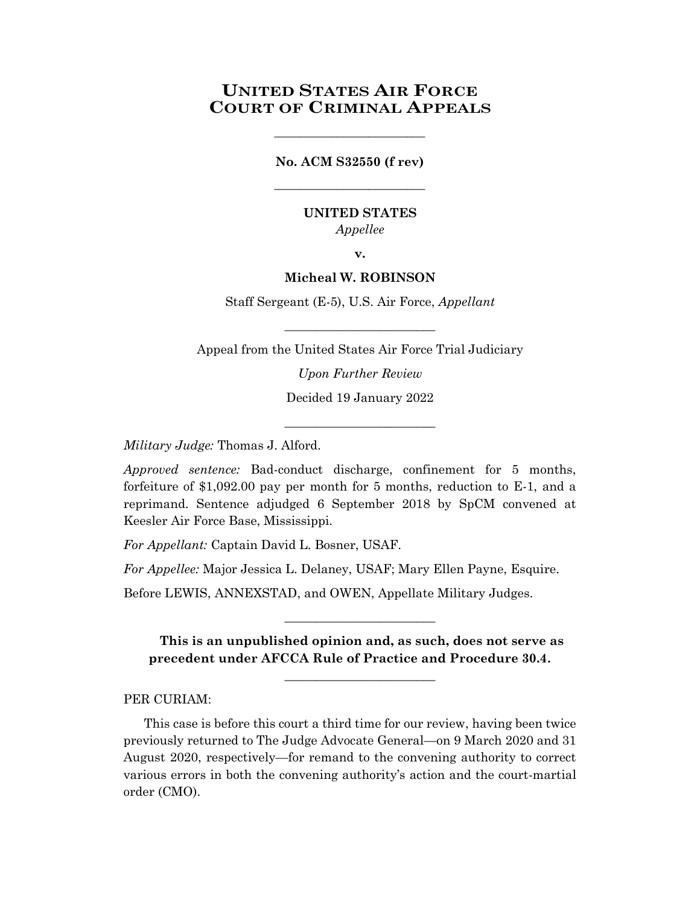# **UNITED STATES AIR FORCE COURT OF CRIMINAL APPEALS**

# **No. ACM S32550 (f rev)** \_\_\_\_\_\_\_\_\_\_\_\_\_\_\_\_\_\_\_\_\_\_\_\_

\_\_\_\_\_\_\_\_\_\_\_\_\_\_\_\_\_\_\_\_\_\_\_\_

## **UNITED STATES** *Appellee*

**v.**

## **Micheal W. ROBINSON**

Staff Sergeant (E-5), U.S. Air Force, *Appellant*

Appeal from the United States Air Force Trial Judiciary

\_\_\_\_\_\_\_\_\_\_\_\_\_\_\_\_\_\_\_\_\_\_\_\_

*Upon Further Review*

Decided 19 January 2022 \_\_\_\_\_\_\_\_\_\_\_\_\_\_\_\_\_\_\_\_\_\_\_\_

*Military Judge:* Thomas J. Alford.

*Approved sentence:* Bad-conduct discharge, confinement for 5 months, forfeiture of \$1,092.00 pay per month for 5 months, reduction to E-1, and a reprimand. Sentence adjudged 6 September 2018 by SpCM convened at Keesler Air Force Base, Mississippi.

*For Appellant:* Captain David L. Bosner, USAF.

*For Appellee:* Major Jessica L. Delaney, USAF; Mary Ellen Payne, Esquire.

Before LEWIS, ANNEXSTAD, and OWEN, Appellate Military Judges.

**This is an unpublished opinion and, as such, does not serve as precedent under AFCCA Rule of Practice and Procedure 30.4.**

\_\_\_\_\_\_\_\_\_\_\_\_\_\_\_\_\_\_\_\_\_\_\_\_

\_\_\_\_\_\_\_\_\_\_\_\_\_\_\_\_\_\_\_\_\_\_\_\_

PER CURIAM:

This case is before this court a third time for our review, having been twice previously returned to The Judge Advocate General—on 9 March 2020 and 31 August 2020, respectively—for remand to the convening authority to correct various errors in both the convening authority's action and the court-martial order (CMO).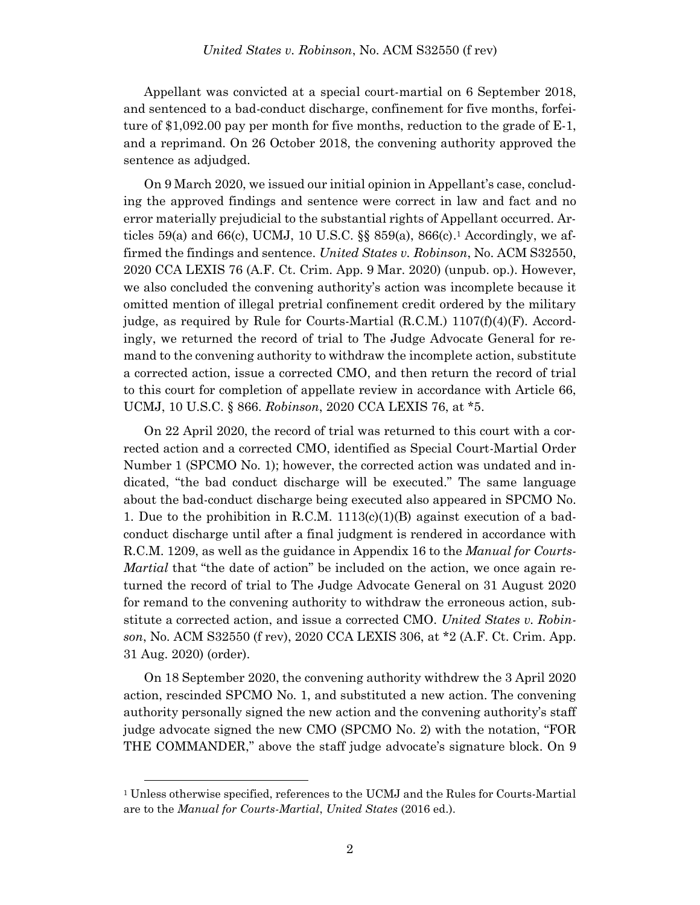Appellant was convicted at a special court-martial on 6 September 2018, and sentenced to a bad-conduct discharge, confinement for five months, forfeiture of \$1,092.00 pay per month for five months, reduction to the grade of E-1, and a reprimand. On 26 October 2018, the convening authority approved the sentence as adjudged.

On 9 March 2020, we issued our initial opinion in Appellant's case, concluding the approved findings and sentence were correct in law and fact and no error materially prejudicial to the substantial rights of Appellant occurred. Articles 59(a) and 66(c), UCMJ, 10 U.S.C. §§ 859(a), 866(c). <sup>1</sup> Accordingly, we affirmed the findings and sentence. *United States v. Robinson*, No. ACM S32550, 2020 CCA LEXIS 76 (A.F. Ct. Crim. App. 9 Mar. 2020) (unpub. op.). However, we also concluded the convening authority's action was incomplete because it omitted mention of illegal pretrial confinement credit ordered by the military judge, as required by Rule for Courts-Martial  $(R.C.M.) 1107(f)(4)(F)$ . Accordingly, we returned the record of trial to The Judge Advocate General for remand to the convening authority to withdraw the incomplete action, substitute a corrected action, issue a corrected CMO, and then return the record of trial to this court for completion of appellate review in accordance with Article 66, UCMJ, 10 U.S.C. § 866. *Robinson*, 2020 CCA LEXIS 76, at \*5.

On 22 April 2020, the record of trial was returned to this court with a corrected action and a corrected CMO, identified as Special Court-Martial Order Number 1 (SPCMO No. 1); however, the corrected action was undated and indicated, "the bad conduct discharge will be executed." The same language about the bad-conduct discharge being executed also appeared in SPCMO No. 1. Due to the prohibition in R.C.M.  $1113(c)(1)(B)$  against execution of a badconduct discharge until after a final judgment is rendered in accordance with R.C.M. 1209, as well as the guidance in Appendix 16 to the *Manual for Courts-Martial* that "the date of action" be included on the action, we once again returned the record of trial to The Judge Advocate General on 31 August 2020 for remand to the convening authority to withdraw the erroneous action, substitute a corrected action, and issue a corrected CMO. *United States v. Robinson*, No. ACM S32550 (f rev), 2020 CCA LEXIS 306, at \*2 (A.F. Ct. Crim. App. 31 Aug. 2020) (order).

On 18 September 2020, the convening authority withdrew the 3 April 2020 action, rescinded SPCMO No. 1, and substituted a new action. The convening authority personally signed the new action and the convening authority's staff judge advocate signed the new CMO (SPCMO No. 2) with the notation, "FOR THE COMMANDER," above the staff judge advocate's signature block. On 9

l

<sup>1</sup> Unless otherwise specified, references to the UCMJ and the Rules for Courts-Martial are to the *Manual for Courts-Martial*, *United States* (2016 ed.).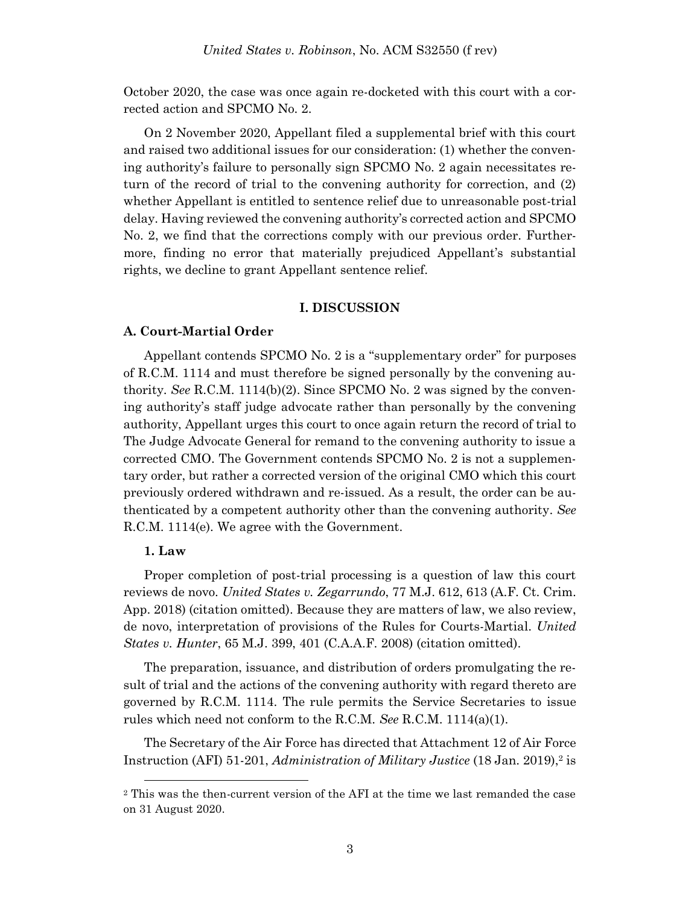October 2020, the case was once again re-docketed with this court with a corrected action and SPCMO No. 2.

On 2 November 2020, Appellant filed a supplemental brief with this court and raised two additional issues for our consideration: (1) whether the convening authority's failure to personally sign SPCMO No. 2 again necessitates return of the record of trial to the convening authority for correction, and (2) whether Appellant is entitled to sentence relief due to unreasonable post-trial delay. Having reviewed the convening authority's corrected action and SPCMO No. 2, we find that the corrections comply with our previous order. Furthermore, finding no error that materially prejudiced Appellant's substantial rights, we decline to grant Appellant sentence relief.

### **I. DISCUSSION**

#### **A. Court-Martial Order**

Appellant contends SPCMO No. 2 is a "supplementary order" for purposes of R.C.M. 1114 and must therefore be signed personally by the convening authority. *See* R.C.M. 1114(b)(2). Since SPCMO No. 2 was signed by the convening authority's staff judge advocate rather than personally by the convening authority, Appellant urges this court to once again return the record of trial to The Judge Advocate General for remand to the convening authority to issue a corrected CMO. The Government contends SPCMO No. 2 is not a supplementary order, but rather a corrected version of the original CMO which this court previously ordered withdrawn and re-issued. As a result, the order can be authenticated by a competent authority other than the convening authority. *See* R.C.M. 1114(e). We agree with the Government.

#### **1. Law**

l

Proper completion of post-trial processing is a question of law this court reviews de novo. *United States v. Zegarrundo*, 77 M.J. 612, 613 (A.F. Ct. Crim. App. 2018) (citation omitted). Because they are matters of law, we also review, de novo, interpretation of provisions of the Rules for Courts-Martial. *United States v. Hunter*, 65 M.J. 399, 401 (C.A.A.F. 2008) (citation omitted).

The preparation, issuance, and distribution of orders promulgating the result of trial and the actions of the convening authority with regard thereto are governed by R.C.M. 1114. The rule permits the Service Secretaries to issue rules which need not conform to the R.C.M. *See* R.C.M. 1114(a)(1).

The Secretary of the Air Force has directed that Attachment 12 of Air Force Instruction (AFI) 51-201, *Administration of Military Justice* (18 Jan. 2019), 2 is

<sup>2</sup> This was the then-current version of the AFI at the time we last remanded the case on 31 August 2020.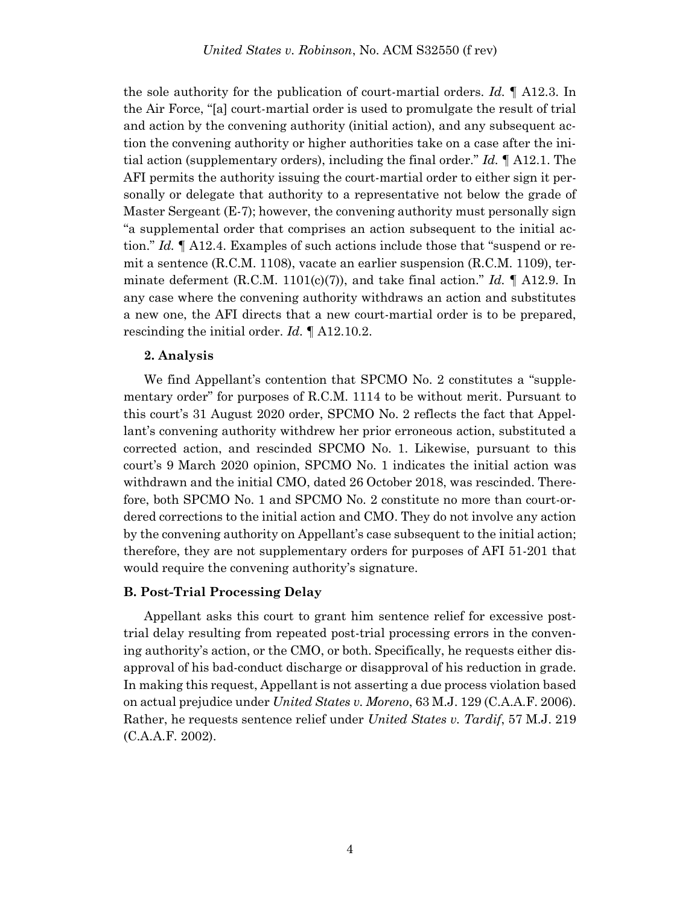the sole authority for the publication of court-martial orders. *Id.* ¶ A12.3. In the Air Force, "[a] court-martial order is used to promulgate the result of trial and action by the convening authority (initial action), and any subsequent action the convening authority or higher authorities take on a case after the initial action (supplementary orders), including the final order." *Id.* ¶ A12.1. The AFI permits the authority issuing the court-martial order to either sign it personally or delegate that authority to a representative not below the grade of Master Sergeant (E-7); however, the convening authority must personally sign "a supplemental order that comprises an action subsequent to the initial action." *Id.* ¶ A12.4. Examples of such actions include those that "suspend or remit a sentence (R.C.M. 1108), vacate an earlier suspension (R.C.M. 1109), terminate deferment (R.C.M. 1101(c)(7)), and take final action." *Id.*  $\parallel$  A12.9. In any case where the convening authority withdraws an action and substitutes a new one, the AFI directs that a new court-martial order is to be prepared, rescinding the initial order. *Id.* ¶ A12.10.2.

#### **2. Analysis**

We find Appellant's contention that SPCMO No. 2 constitutes a "supplementary order" for purposes of R.C.M. 1114 to be without merit. Pursuant to this court's 31 August 2020 order, SPCMO No. 2 reflects the fact that Appellant's convening authority withdrew her prior erroneous action, substituted a corrected action, and rescinded SPCMO No. 1. Likewise, pursuant to this court's 9 March 2020 opinion, SPCMO No. 1 indicates the initial action was withdrawn and the initial CMO, dated 26 October 2018, was rescinded. Therefore, both SPCMO No. 1 and SPCMO No. 2 constitute no more than court-ordered corrections to the initial action and CMO. They do not involve any action by the convening authority on Appellant's case subsequent to the initial action; therefore, they are not supplementary orders for purposes of AFI 51-201 that would require the convening authority's signature.

#### **B. Post-Trial Processing Delay**

Appellant asks this court to grant him sentence relief for excessive posttrial delay resulting from repeated post-trial processing errors in the convening authority's action, or the CMO, or both. Specifically, he requests either disapproval of his bad-conduct discharge or disapproval of his reduction in grade. In making this request, Appellant is not asserting a due process violation based on actual prejudice under *United States v. Moreno*, 63 M.J. 129 (C.A.A.F. 2006). Rather, he requests sentence relief under *United States v. Tardif*, 57 M.J. 219 (C.A.A.F. 2002).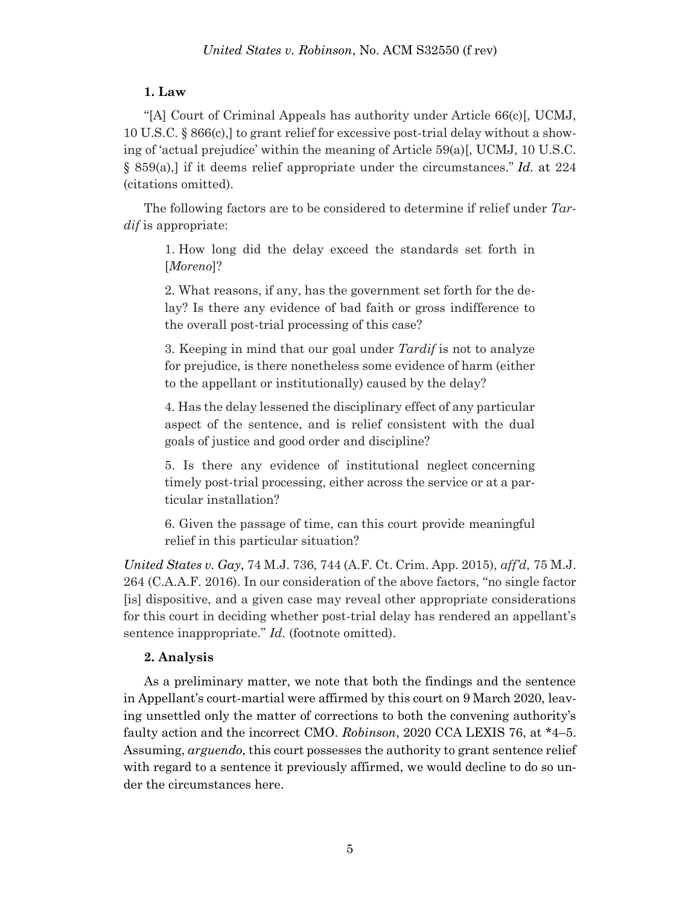## **1. Law**

"[A] Court of Criminal Appeals has authority under Article 66(c)[, UCMJ, 10 U.S.C. § 866(c),] to grant relief for excessive post-trial delay without a showing of 'actual prejudice' within the meaning of Article 59(a)[, UCMJ, 10 U.S.C. § 859(a),] if it deems relief appropriate under the circumstances." *Id.* at 224 (citations omitted).

The following factors are to be considered to determine if relief under *Tardif* is appropriate:

1. How long did the delay exceed the standards set forth in [*Moreno*]?

2. What reasons, if any, has the government set forth for the delay? Is there any evidence of bad faith or gross indifference to the overall post-trial processing of this case?

3. Keeping in mind that our goal under *Tardif* is not to analyze for prejudice, is there nonetheless some evidence of harm (either to the appellant or institutionally) caused by the delay?

4. Has the delay lessened the disciplinary effect of any particular aspect of the sentence, and is relief consistent with the dual goals of justice and good order and discipline?

5. Is there any evidence of institutional neglect concerning timely post-trial processing, either across the service or at a particular installation?

6. Given the passage of time, can this court provide meaningful relief in this particular situation?

*United States v. Gay*, 74 M.J. 736, 744 (A.F. Ct. Crim. App. 2015), *aff'd*, 75 M.J. 264 (C.A.A.F. 2016). In our consideration of the above factors, "no single factor [is] dispositive, and a given case may reveal other appropriate considerations for this court in deciding whether post-trial delay has rendered an appellant's sentence inappropriate." *Id.* (footnote omitted).

## **2. Analysis**

As a preliminary matter, we note that both the findings and the sentence in Appellant's court-martial were affirmed by this court on 9 March 2020, leaving unsettled only the matter of corrections to both the convening authority's faulty action and the incorrect CMO. *Robinson*, 2020 CCA LEXIS 76, at \*4–5. Assuming, *arguendo*, this court possesses the authority to grant sentence relief with regard to a sentence it previously affirmed, we would decline to do so under the circumstances here.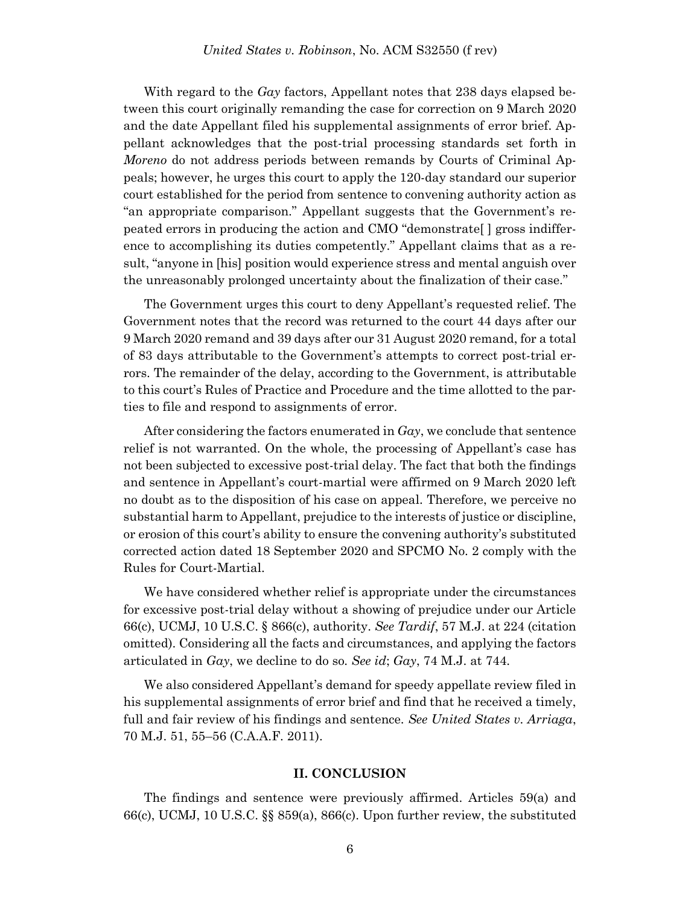With regard to the *Gay* factors, Appellant notes that 238 days elapsed between this court originally remanding the case for correction on 9 March 2020 and the date Appellant filed his supplemental assignments of error brief. Appellant acknowledges that the post-trial processing standards set forth in *Moreno* do not address periods between remands by Courts of Criminal Appeals; however, he urges this court to apply the 120-day standard our superior court established for the period from sentence to convening authority action as "an appropriate comparison." Appellant suggests that the Government's repeated errors in producing the action and CMO "demonstrate[ ] gross indifference to accomplishing its duties competently." Appellant claims that as a result, "anyone in [his] position would experience stress and mental anguish over the unreasonably prolonged uncertainty about the finalization of their case."

The Government urges this court to deny Appellant's requested relief. The Government notes that the record was returned to the court 44 days after our 9 March 2020 remand and 39 days after our 31 August 2020 remand, for a total of 83 days attributable to the Government's attempts to correct post-trial errors. The remainder of the delay, according to the Government, is attributable to this court's Rules of Practice and Procedure and the time allotted to the parties to file and respond to assignments of error.

After considering the factors enumerated in *Gay*, we conclude that sentence relief is not warranted. On the whole, the processing of Appellant's case has not been subjected to excessive post-trial delay. The fact that both the findings and sentence in Appellant's court-martial were affirmed on 9 March 2020 left no doubt as to the disposition of his case on appeal. Therefore, we perceive no substantial harm to Appellant, prejudice to the interests of justice or discipline, or erosion of this court's ability to ensure the convening authority's substituted corrected action dated 18 September 2020 and SPCMO No. 2 comply with the Rules for Court-Martial.

We have considered whether relief is appropriate under the circumstances for excessive post-trial delay without a showing of prejudice under our Article 66(c), UCMJ, 10 U.S.C. § 866(c), authority. *See Tardif*, 57 M.J. at 224 (citation omitted). Considering all the facts and circumstances, and applying the factors articulated in *Gay*, we decline to do so. *See id*; *Gay*, 74 M.J. at 744.

We also considered Appellant's demand for speedy appellate review filed in his supplemental assignments of error brief and find that he received a timely, full and fair review of his findings and sentence. *See United States v. Arriaga*, 70 M.J. 51, 55–56 (C.A.A.F. 2011).

#### **II. CONCLUSION**

The findings and sentence were previously affirmed. Articles 59(a) and 66(c), UCMJ, 10 U.S.C. §§ 859(a), 866(c). Upon further review, the substituted